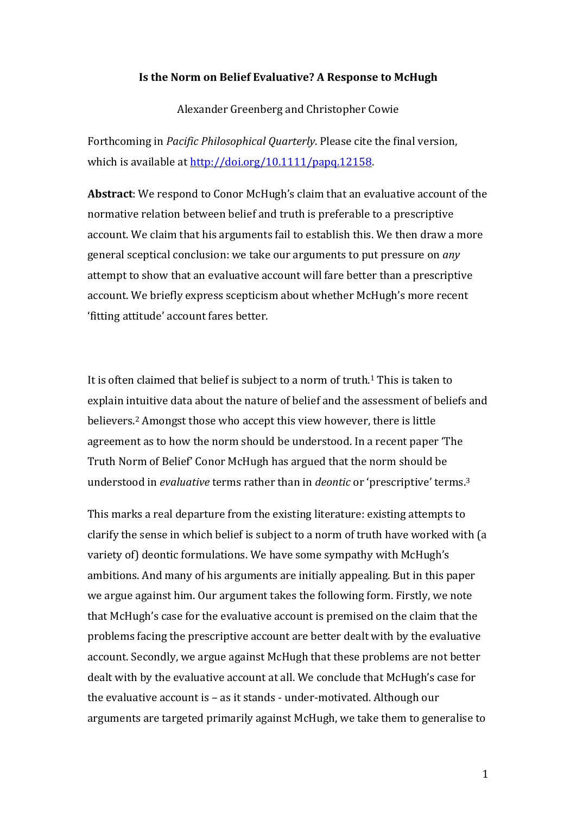### **Is the Norm on Belief Evaluative? A Response to McHugh**

Alexander Greenberg and Christopher Cowie

Forthcoming in *Pacific Philosophical Quarterly*. Please cite the final version, which is available at  $\frac{http://doi.org/10.1111/papq.12158.}{http://doi.org/10.1111/papq.12158.}$ 

**Abstract:** We respond to Conor McHugh's claim that an evaluative account of the normative relation between belief and truth is preferable to a prescriptive account. We claim that his arguments fail to establish this. We then draw a more general sceptical conclusion: we take our arguments to put pressure on *any* attempt to show that an evaluative account will fare better than a prescriptive account. We briefly express scepticism about whether McHugh's more recent 'fitting attitude' account fares better.

It is often claimed that belief is subject to a norm of truth.<sup>1</sup> This is taken to explain intuitive data about the nature of belief and the assessment of beliefs and believers.<sup>2</sup> Amongst those who accept this view however, there is little agreement as to how the norm should be understood. In a recent paper 'The Truth Norm of Belief' Conor McHugh has argued that the norm should be understood in *evaluative* terms rather than in *deontic* or 'prescriptive' terms.<sup>3</sup>

This marks a real departure from the existing literature: existing attempts to clarify the sense in which belief is subject to a norm of truth have worked with (a variety of) deontic formulations. We have some sympathy with McHugh's ambitions. And many of his arguments are initially appealing. But in this paper we argue against him. Our argument takes the following form. Firstly, we note that McHugh's case for the evaluative account is premised on the claim that the problems facing the prescriptive account are better dealt with by the evaluative account. Secondly, we argue against McHugh that these problems are not better dealt with by the evaluative account at all. We conclude that McHugh's case for the evaluative account is – as it stands - under-motivated. Although our arguments are targeted primarily against McHugh, we take them to generalise to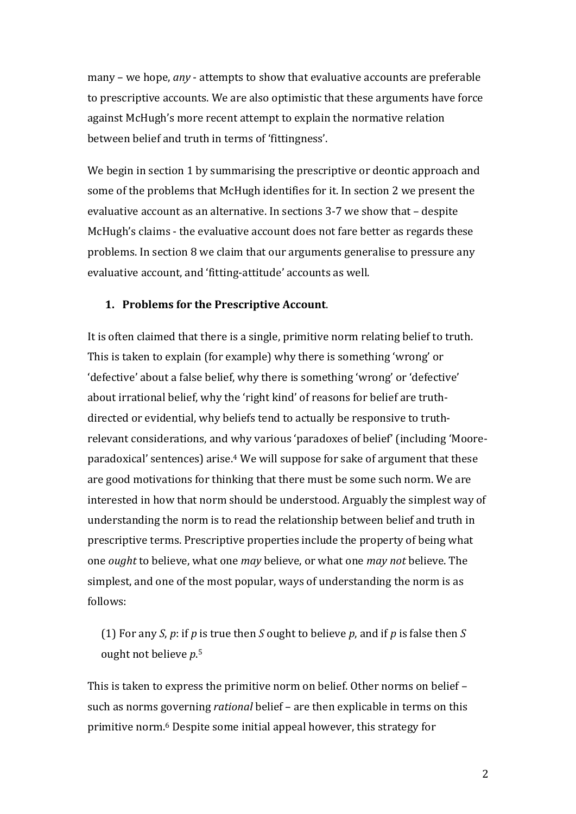many – we hope, *any* - attempts to show that evaluative accounts are preferable to prescriptive accounts. We are also optimistic that these arguments have force against McHugh's more recent attempt to explain the normative relation between belief and truth in terms of 'fittingness'.

We begin in section 1 by summarising the prescriptive or deontic approach and some of the problems that McHugh identifies for it. In section 2 we present the evaluative account as an alternative. In sections 3-7 we show that – despite McHugh's claims - the evaluative account does not fare better as regards these problems. In section 8 we claim that our arguments generalise to pressure any evaluative account, and 'fitting-attitude' accounts as well.

# **1. Problems for the Prescriptive Account.**

It is often claimed that there is a single, primitive norm relating belief to truth. This is taken to explain (for example) why there is something 'wrong' or 'defective' about a false belief, why there is something 'wrong' or 'defective' about irrational belief, why the 'right kind' of reasons for belief are truthdirected or evidential, why beliefs tend to actually be responsive to truthrelevant considerations, and why various 'paradoxes of belief' (including 'Mooreparadoxical' sentences) arise.4 We will suppose for sake of argument that these are good motivations for thinking that there must be some such norm. We are interested in how that norm should be understood. Arguably the simplest way of understanding the norm is to read the relationship between belief and truth in prescriptive terms. Prescriptive properties include the property of being what one *ought* to believe, what one *may* believe, or what one *may not* believe. The simplest, and one of the most popular, ways of understanding the norm is as follows:

(1) For any *S*,  $p$ : if  $p$  is true then  $S$  ought to believe  $p$ , and if  $p$  is false then  $S$ ought not believe *p*.<sup>5</sup>

This is taken to express the primitive norm on belief. Other norms on belief such as norms governing *rational* belief – are then explicable in terms on this primitive norm.<sup>6</sup> Despite some initial appeal however, this strategy for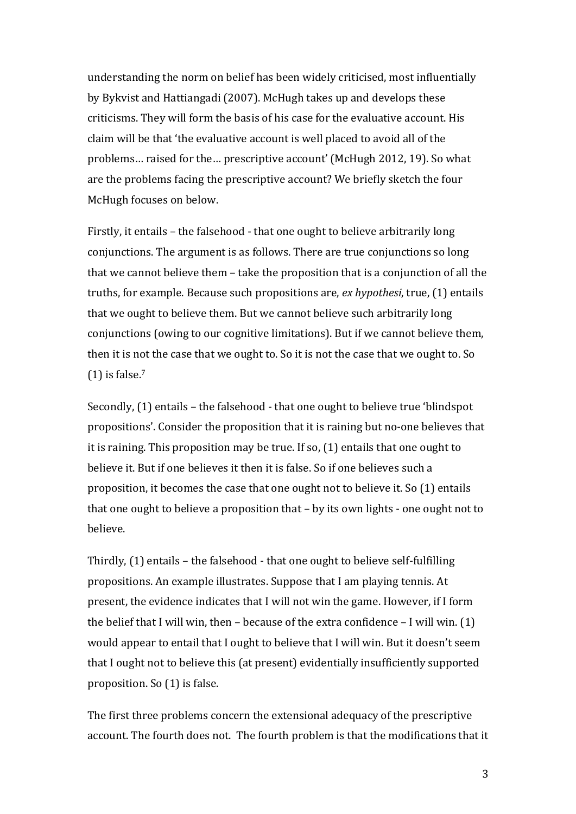understanding the norm on belief has been widely criticised, most influentially by Bykvist and Hattiangadi (2007). McHugh takes up and develops these criticisms. They will form the basis of his case for the evaluative account. His claim will be that 'the evaluative account is well placed to avoid all of the problems... raised for the... prescriptive account' (McHugh 2012, 19). So what are the problems facing the prescriptive account? We briefly sketch the four McHugh focuses on below.

Firstly, it entails - the falsehood - that one ought to believe arbitrarily long conjunctions. The argument is as follows. There are true conjunctions so long that we cannot believe them  $-$  take the proposition that is a conjunction of all the truths, for example. Because such propositions are, *ex hypothesi*, true, (1) entails that we ought to believe them. But we cannot believe such arbitrarily long conjunctions (owing to our cognitive limitations). But if we cannot believe them, then it is not the case that we ought to. So it is not the case that we ought to. So  $(1)$  is false.<sup>7</sup>

Secondly,  $(1)$  entails – the falsehood - that one ought to believe true 'blindspot' propositions'. Consider the proposition that it is raining but no-one believes that it is raining. This proposition may be true. If so,  $(1)$  entails that one ought to believe it. But if one believes it then it is false. So if one believes such a proposition, it becomes the case that one ought not to believe it. So  $(1)$  entails that one ought to believe a proposition that  $-$  by its own lights  $-$  one ought not to believe.

Thirdly,  $(1)$  entails – the falsehood - that one ought to believe self-fulfilling propositions. An example illustrates. Suppose that I am playing tennis. At present, the evidence indicates that I will not win the game. However, if I form the belief that I will win, then – because of the extra confidence – I will win.  $(1)$ would appear to entail that I ought to believe that I will win. But it doesn't seem that I ought not to believe this (at present) evidentially insufficiently supported proposition. So  $(1)$  is false.

The first three problems concern the extensional adequacy of the prescriptive account. The fourth does not. The fourth problem is that the modifications that it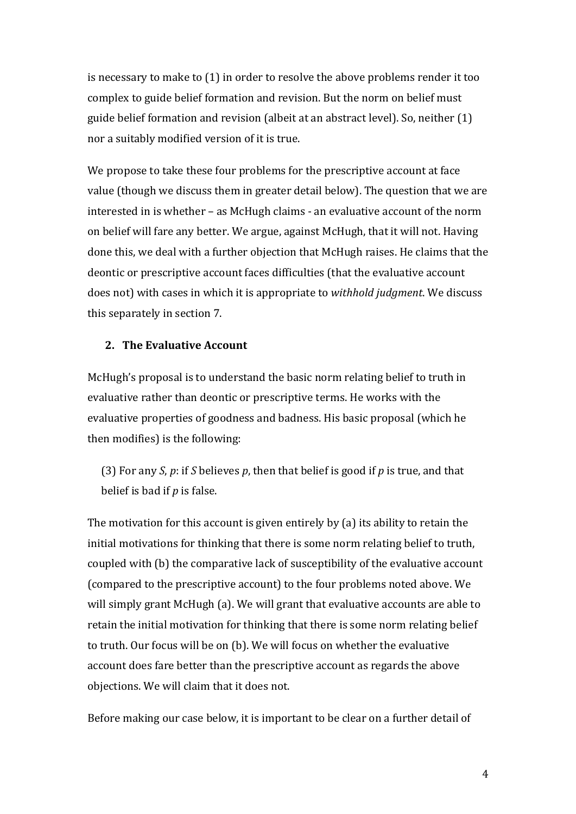is necessary to make to  $(1)$  in order to resolve the above problems render it too complex to guide belief formation and revision. But the norm on belief must guide belief formation and revision (albeit at an abstract level). So, neither  $(1)$ nor a suitably modified version of it is true.

We propose to take these four problems for the prescriptive account at face value (though we discuss them in greater detail below). The question that we are interested in is whether  $-$  as McHugh claims  $-$  an evaluative account of the norm on belief will fare any better. We argue, against McHugh, that it will not. Having done this, we deal with a further objection that McHugh raises. He claims that the deontic or prescriptive account faces difficulties (that the evaluative account does not) with cases in which it is appropriate to *withhold judgment*. We discuss this separately in section 7.

## **2.** The Evaluative Account

McHugh's proposal is to understand the basic norm relating belief to truth in evaluative rather than deontic or prescriptive terms. He works with the evaluative properties of goodness and badness. His basic proposal (which he then modifies) is the following:

(3) For any *S*, *p*: if *S* believes *p*, then that belief is good if *p* is true, and that belief is bad if *p* is false.

The motivation for this account is given entirely by  $(a)$  its ability to retain the initial motivations for thinking that there is some norm relating belief to truth, coupled with (b) the comparative lack of susceptibility of the evaluative account (compared to the prescriptive account) to the four problems noted above. We will simply grant McHugh (a). We will grant that evaluative accounts are able to retain the initial motivation for thinking that there is some norm relating belief to truth. Our focus will be on (b). We will focus on whether the evaluative account does fare better than the prescriptive account as regards the above objections. We will claim that it does not.

Before making our case below, it is important to be clear on a further detail of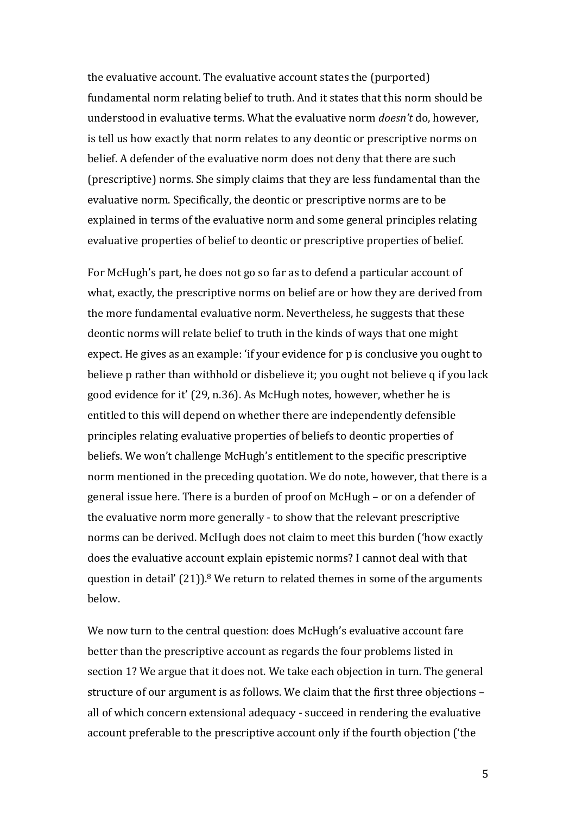the evaluative account. The evaluative account states the (purported) fundamental norm relating belief to truth. And it states that this norm should be understood in evaluative terms. What the evaluative norm *doesn't* do, however, is tell us how exactly that norm relates to any deontic or prescriptive norms on belief. A defender of the evaluative norm does not deny that there are such (prescriptive) norms. She simply claims that they are less fundamental than the evaluative norm. Specifically, the deontic or prescriptive norms are to be explained in terms of the evaluative norm and some general principles relating evaluative properties of belief to deontic or prescriptive properties of belief.

For McHugh's part, he does not go so far as to defend a particular account of what, exactly, the prescriptive norms on belief are or how they are derived from the more fundamental evaluative norm. Nevertheless, he suggests that these deontic norms will relate belief to truth in the kinds of ways that one might expect. He gives as an example: 'if your evidence for p is conclusive you ought to believe p rather than withhold or disbelieve it; you ought not believe q if you lack good evidence for it' (29, n.36). As McHugh notes, however, whether he is entitled to this will depend on whether there are independently defensible principles relating evaluative properties of beliefs to deontic properties of beliefs. We won't challenge McHugh's entitlement to the specific prescriptive norm mentioned in the preceding quotation. We do note, however, that there is a general issue here. There is a burden of proof on McHugh – or on a defender of the evaluative norm more generally - to show that the relevant prescriptive norms can be derived. McHugh does not claim to meet this burden ('how exactly does the evaluative account explain epistemic norms? I cannot deal with that question in detail'  $(21)$ <sup>8</sup>. We return to related themes in some of the arguments below.

We now turn to the central question: does McHugh's evaluative account fare better than the prescriptive account as regards the four problems listed in section 1? We argue that it does not. We take each objection in turn. The general structure of our argument is as follows. We claim that the first three objections – all of which concern extensional adequacy - succeed in rendering the evaluative account preferable to the prescriptive account only if the fourth objection ('the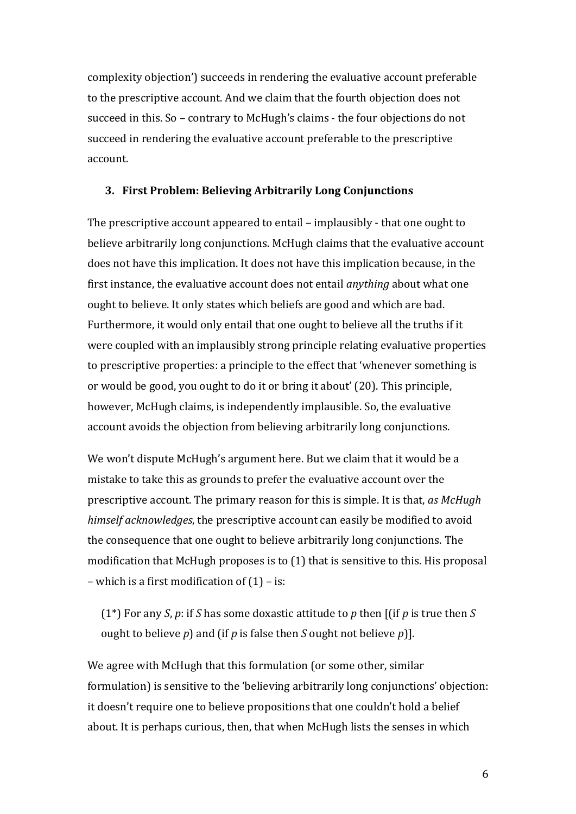complexity objection') succeeds in rendering the evaluative account preferable to the prescriptive account. And we claim that the fourth objection does not succeed in this. So – contrary to McHugh's claims - the four objections do not succeed in rendering the evaluative account preferable to the prescriptive account.

### **3. First Problem: Believing Arbitrarily Long Conjunctions**

The prescriptive account appeared to entail – implausibly - that one ought to believe arbitrarily long conjunctions. McHugh claims that the evaluative account does not have this implication. It does not have this implication because, in the first instance, the evaluative account does not entail *anything* about what one ought to believe. It only states which beliefs are good and which are bad. Furthermore, it would only entail that one ought to believe all the truths if it were coupled with an implausibly strong principle relating evaluative properties to prescriptive properties: a principle to the effect that 'whenever something is or would be good, you ought to do it or bring it about' (20). This principle, however, McHugh claims, is independently implausible. So, the evaluative account avoids the objection from believing arbitrarily long conjunctions.

We won't dispute McHugh's argument here. But we claim that it would be a mistake to take this as grounds to prefer the evaluative account over the prescriptive account. The primary reason for this is simple. It is that, *as McHugh himself acknowledges*, the prescriptive account can easily be modified to avoid the consequence that one ought to believe arbitrarily long conjunctions. The modification that McHugh proposes is to  $(1)$  that is sensitive to this. His proposal – which is a first modification of  $(1)$  – is:

(1<sup>\*</sup>) For any *S*, *p*: if *S* has some doxastic attitude to *p* then  $\iint$  *f* is true then *S* ought to believe  $p$ ) and (if  $p$  is false then  $S$  ought not believe  $p$ )].

We agree with McHugh that this formulation (or some other, similar formulation) is sensitive to the 'believing arbitrarily long conjunctions' objection: it doesn't require one to believe propositions that one couldn't hold a belief about. It is perhaps curious, then, that when McHugh lists the senses in which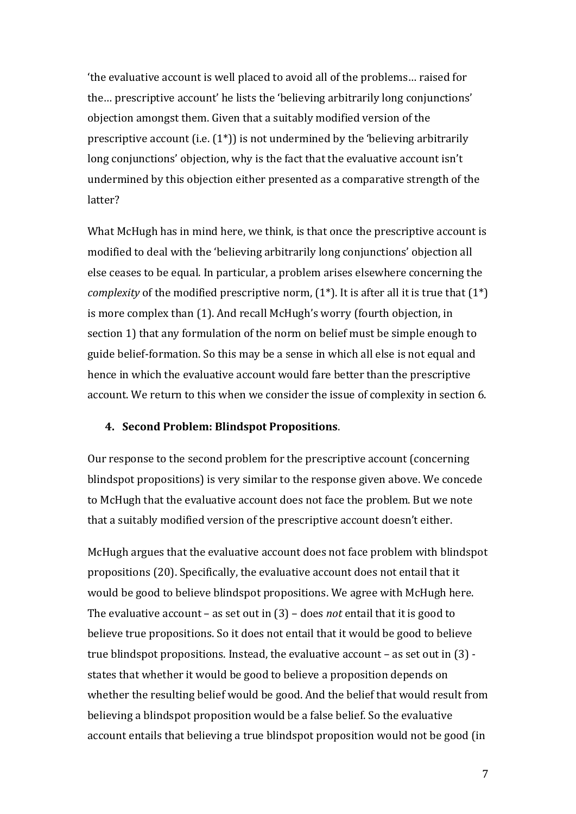'the evaluative account is well placed to avoid all of the problems... raised for the... prescriptive account' he lists the 'believing arbitrarily long conjunctions' objection amongst them. Given that a suitably modified version of the prescriptive account (i.e.  $(1^*)$ ) is not undermined by the 'believing arbitrarily long conjunctions' objection, why is the fact that the evaluative account isn't undermined by this objection either presented as a comparative strength of the latter? 

What McHugh has in mind here, we think, is that once the prescriptive account is modified to deal with the 'believing arbitrarily long conjunctions' objection all else ceases to be equal. In particular, a problem arises elsewhere concerning the *complexity* of the modified prescriptive norm,  $(1^*)$ . It is after all it is true that  $(1^*)$ is more complex than (1). And recall McHugh's worry (fourth objection, in section 1) that any formulation of the norm on belief must be simple enough to guide belief-formation. So this may be a sense in which all else is not equal and hence in which the evaluative account would fare better than the prescriptive account. We return to this when we consider the issue of complexity in section 6.

### **4. Second Problem: Blindspot Propositions**.

Our response to the second problem for the prescriptive account (concerning blindspot propositions) is very similar to the response given above. We concede to McHugh that the evaluative account does not face the problem. But we note that a suitably modified version of the prescriptive account doesn't either.

McHugh argues that the evaluative account does not face problem with blindspot propositions (20). Specifically, the evaluative account does not entail that it would be good to believe blindspot propositions. We agree with McHugh here. The evaluative account – as set out in  $(3)$  – does *not* entail that it is good to believe true propositions. So it does not entail that it would be good to believe true blindspot propositions. Instead, the evaluative account  $-$  as set out in  $(3)$  states that whether it would be good to believe a proposition depends on whether the resulting belief would be good. And the belief that would result from believing a blindspot proposition would be a false belief. So the evaluative account entails that believing a true blindspot proposition would not be good (in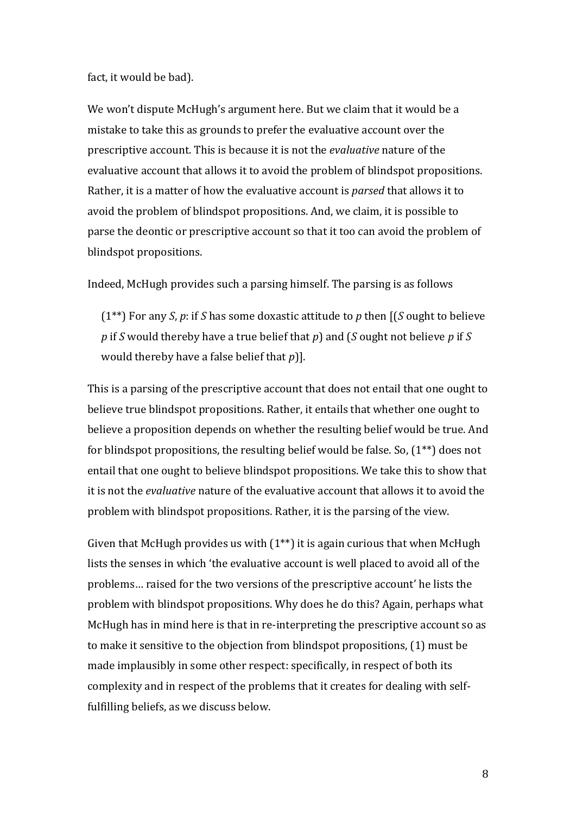### fact, it would be bad).

We won't dispute McHugh's argument here. But we claim that it would be a mistake to take this as grounds to prefer the evaluative account over the prescriptive account. This is because it is not the *evaluative* nature of the evaluative account that allows it to avoid the problem of blindspot propositions. Rather, it is a matter of how the evaluative account is *parsed* that allows it to avoid the problem of blindspot propositions. And, we claim, it is possible to parse the deontic or prescriptive account so that it too can avoid the problem of blindspot propositions.

Indeed, McHugh provides such a parsing himself. The parsing is as follows

 $(1^{**})$  For any *S*, *p*: if *S* has some doxastic attitude to *p* then  $($ [*S* ought to believe *p* if *S* would thereby have a true belief that *p*) and (*S* ought not believe *p* if *S* would thereby have a false belief that *p*)].

This is a parsing of the prescriptive account that does not entail that one ought to believe true blindspot propositions. Rather, it entails that whether one ought to believe a proposition depends on whether the resulting belief would be true. And for blindspot propositions, the resulting belief would be false. So,  $(1^{**})$  does not entail that one ought to believe blindspot propositions. We take this to show that it is not the *evaluative* nature of the evaluative account that allows it to avoid the problem with blindspot propositions. Rather, it is the parsing of the view.

Given that McHugh provides us with  $(1^{**})$  it is again curious that when McHugh lists the senses in which 'the evaluative account is well placed to avoid all of the problems... raised for the two versions of the prescriptive account' he lists the problem with blindspot propositions. Why does he do this? Again, perhaps what McHugh has in mind here is that in re-interpreting the prescriptive account so as to make it sensitive to the objection from blindspot propositions, (1) must be made implausibly in some other respect: specifically, in respect of both its complexity and in respect of the problems that it creates for dealing with selffulfilling beliefs, as we discuss below.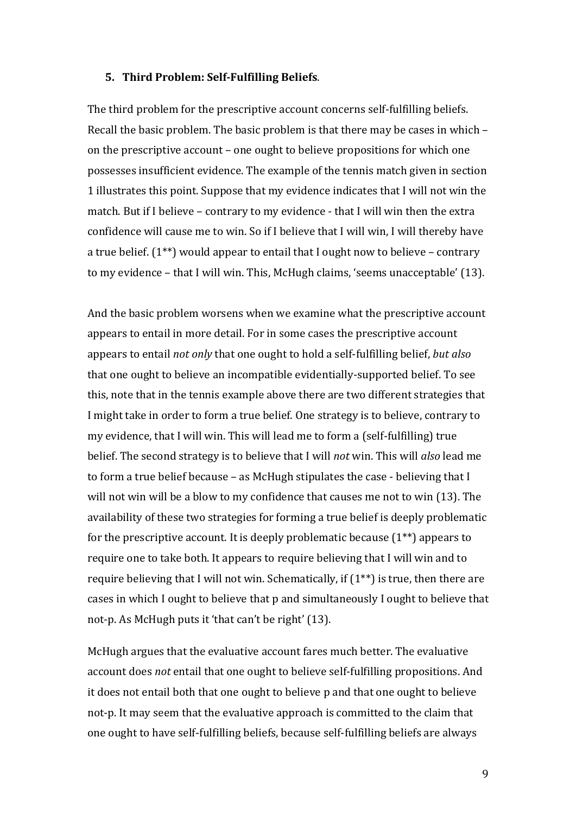#### **5. Third Problem: Self-Fulfilling Beliefs**.

The third problem for the prescriptive account concerns self-fulfilling beliefs. Recall the basic problem. The basic problem is that there may be cases in which – on the prescriptive account – one ought to believe propositions for which one possesses insufficient evidence. The example of the tennis match given in section 1 illustrates this point. Suppose that my evidence indicates that I will not win the match. But if I believe  $-$  contrary to my evidence  $-$  that I will win then the extra confidence will cause me to win. So if I believe that I will win, I will thereby have a true belief.  $(1^{**})$  would appear to entail that I ought now to believe – contrary to my evidence – that I will win. This, McHugh claims, 'seems unacceptable' (13).

And the basic problem worsens when we examine what the prescriptive account appears to entail in more detail. For in some cases the prescriptive account appears to entail *not only* that one ought to hold a self-fulfilling belief, *but also* that one ought to believe an incompatible evidentially-supported belief. To see this, note that in the tennis example above there are two different strategies that I might take in order to form a true belief. One strategy is to believe, contrary to my evidence, that I will win. This will lead me to form a (self-fulfilling) true belief. The second strategy is to believe that I will *not* win. This will *also* lead me to form a true belief because  $-$  as McHugh stipulates the case  $-$  believing that I will not win will be a blow to my confidence that causes me not to win  $(13)$ . The availability of these two strategies for forming a true belief is deeply problematic for the prescriptive account. It is deeply problematic because  $(1^{**})$  appears to require one to take both. It appears to require believing that I will win and to require believing that I will not win. Schematically, if  $(1^{**})$  is true, then there are cases in which I ought to believe that p and simultaneously I ought to believe that not-p. As McHugh puts it 'that can't be right' (13).

McHugh argues that the evaluative account fares much better. The evaluative account does *not* entail that one ought to believe self-fulfilling propositions. And it does not entail both that one ought to believe p and that one ought to believe not-p. It may seem that the evaluative approach is committed to the claim that one ought to have self-fulfilling beliefs, because self-fulfilling beliefs are always

9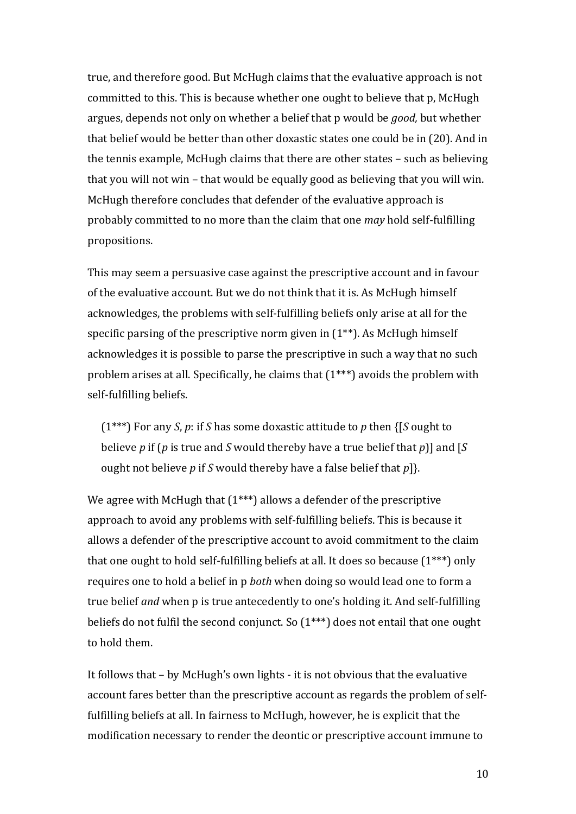true, and therefore good. But McHugh claims that the evaluative approach is not committed to this. This is because whether one ought to believe that p, McHugh argues, depends not only on whether a belief that p would be *good*, but whether that belief would be better than other doxastic states one could be in (20). And in the tennis example, McHugh claims that there are other states  $-$  such as believing that you will not win – that would be equally good as believing that you will win. McHugh therefore concludes that defender of the evaluative approach is probably committed to no more than the claim that one *may* hold self-fulfilling propositions.

This may seem a persuasive case against the prescriptive account and in favour of the evaluative account. But we do not think that it is. As McHugh himself acknowledges, the problems with self-fulfilling beliefs only arise at all for the specific parsing of the prescriptive norm given in  $(1^{**})$ . As McHugh himself acknowledges it is possible to parse the prescriptive in such a way that no such problem arises at all. Specifically, he claims that  $(1***)$  avoids the problem with self-fulfilling beliefs.

 $(1***)$  For any *S*, *p*: if *S* has some doxastic attitude to *p* then  $\{[S \text{ ought to}]$ believe  $p$  if ( $p$  is true and  $S$  would thereby have a true belief that  $p$ )] and [ $S$ ought not believe *p* if *S* would thereby have a false belief that  $p$ ].

We agree with McHugh that  $(1***)$  allows a defender of the prescriptive approach to avoid any problems with self-fulfilling beliefs. This is because it allows a defender of the prescriptive account to avoid commitment to the claim that one ought to hold self-fulfilling beliefs at all. It does so because  $(1^{***})$  only requires one to hold a belief in p *both* when doing so would lead one to form a true belief *and* when p is true antecedently to one's holding it. And self-fulfilling beliefs do not fulfil the second conjunct. So  $(1***)$  does not entail that one ought to hold them.

It follows that  $-$  by McHugh's own lights  $-$  it is not obvious that the evaluative account fares better than the prescriptive account as regards the problem of selffulfilling beliefs at all. In fairness to McHugh, however, he is explicit that the modification necessary to render the deontic or prescriptive account immune to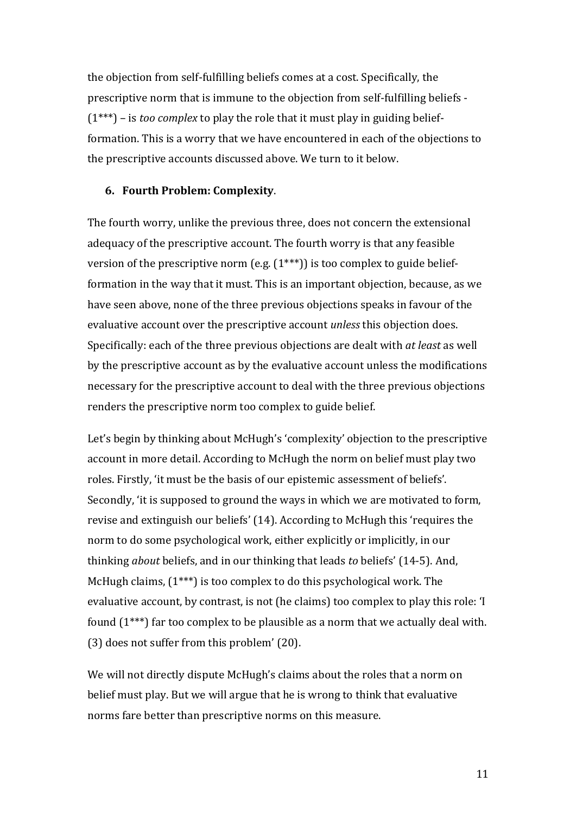the objection from self-fulfilling beliefs comes at a cost. Specifically, the prescriptive norm that is immune to the objection from self-fulfilling beliefs - $(1***)$  – is *too complex* to play the role that it must play in guiding beliefformation. This is a worry that we have encountered in each of the objections to the prescriptive accounts discussed above. We turn to it below.

### **6. Fourth Problem: Complexity**.

The fourth worry, unlike the previous three, does not concern the extensional adequacy of the prescriptive account. The fourth worry is that any feasible version of the prescriptive norm (e.g.  $(1^{***})$ ) is too complex to guide beliefformation in the way that it must. This is an important objection, because, as we have seen above, none of the three previous objections speaks in favour of the evaluative account over the prescriptive account *unless* this objection does. Specifically: each of the three previous objections are dealt with *at least* as well by the prescriptive account as by the evaluative account unless the modifications necessary for the prescriptive account to deal with the three previous objections renders the prescriptive norm too complex to guide belief.

Let's begin by thinking about McHugh's 'complexity' objection to the prescriptive account in more detail. According to McHugh the norm on belief must play two roles. Firstly, 'it must be the basis of our epistemic assessment of beliefs'. Secondly, 'it is supposed to ground the ways in which we are motivated to form, revise and extinguish our beliefs' (14). According to McHugh this 'requires the norm to do some psychological work, either explicitly or implicitly, in our thinking *about* beliefs, and in our thinking that leads *to* beliefs' (14-5). And, McHugh claims,  $(1***)$  is too complex to do this psychological work. The evaluative account, by contrast, is not (he claims) too complex to play this role: 'I found  $(1^{***})$  far too complex to be plausible as a norm that we actually deal with. (3) does not suffer from this problem' (20).

We will not directly dispute McHugh's claims about the roles that a norm on belief must play. But we will argue that he is wrong to think that evaluative norms fare better than prescriptive norms on this measure.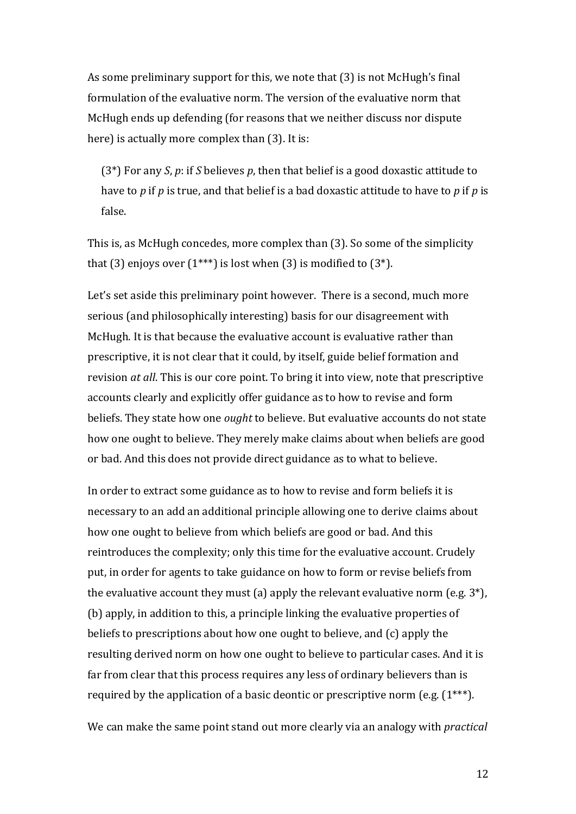As some preliminary support for this, we note that (3) is not McHugh's final formulation of the evaluative norm. The version of the evaluative norm that McHugh ends up defending (for reasons that we neither discuss nor dispute here) is actually more complex than  $(3)$ . It is:

(3<sup>\*</sup>) For any *S*, *p*: if *S* believes *p*, then that belief is a good doxastic attitude to have to p if p is true, and that belief is a bad doxastic attitude to have to p if p is false.

This is, as McHugh concedes, more complex than (3). So some of the simplicity that (3) enjoys over  $(1^{***})$  is lost when (3) is modified to  $(3^*)$ .

Let's set aside this preliminary point however. There is a second, much more serious (and philosophically interesting) basis for our disagreement with McHugh. It is that because the evaluative account is evaluative rather than prescriptive, it is not clear that it could, by itself, guide belief formation and revision *at all*. This is our core point. To bring it into view, note that prescriptive accounts clearly and explicitly offer guidance as to how to revise and form beliefs. They state how one *ought* to believe. But evaluative accounts do not state how one ought to believe. They merely make claims about when beliefs are good or bad. And this does not provide direct guidance as to what to believe.

In order to extract some guidance as to how to revise and form beliefs it is necessary to an add an additional principle allowing one to derive claims about how one ought to believe from which beliefs are good or bad. And this reintroduces the complexity; only this time for the evaluative account. Crudely put, in order for agents to take guidance on how to form or revise beliefs from the evaluative account they must (a) apply the relevant evaluative norm (e.g.  $3^*$ ), (b) apply, in addition to this, a principle linking the evaluative properties of beliefs to prescriptions about how one ought to believe, and  $(c)$  apply the resulting derived norm on how one ought to believe to particular cases. And it is far from clear that this process requires any less of ordinary believers than is required by the application of a basic deontic or prescriptive norm (e.g.  $(1^{***})$ .

We can make the same point stand out more clearly via an analogy with *practical*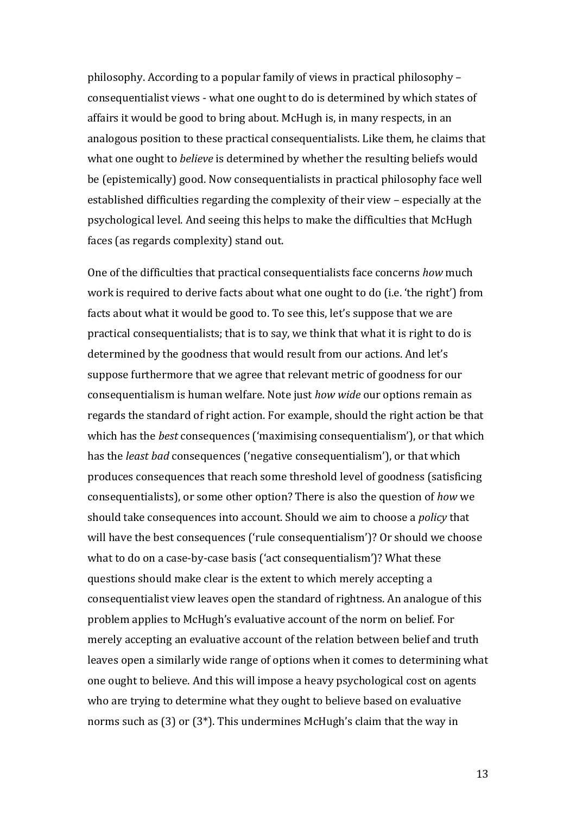philosophy. According to a popular family of views in practical philosophy – consequentialist views - what one ought to do is determined by which states of affairs it would be good to bring about. McHugh is, in many respects, in an analogous position to these practical consequentialists. Like them, he claims that what one ought to *believe* is determined by whether the resulting beliefs would be (epistemically) good. Now consequentialists in practical philosophy face well established difficulties regarding the complexity of their view – especially at the psychological level. And seeing this helps to make the difficulties that McHugh faces (as regards complexity) stand out.

One of the difficulties that practical consequentialists face concerns *how* much work is required to derive facts about what one ought to do (i.e. 'the right') from facts about what it would be good to. To see this, let's suppose that we are practical consequentialists; that is to say, we think that what it is right to do is determined by the goodness that would result from our actions. And let's suppose furthermore that we agree that relevant metric of goodness for our consequentialism is human welfare. Note just *how wide* our options remain as regards the standard of right action. For example, should the right action be that which has the *best* consequences ('maximising consequentialism'), or that which has the *least bad* consequences ('negative consequentialism'), or that which produces consequences that reach some threshold level of goodness (satisficing consequentialists), or some other option? There is also the question of *how* we should take consequences into account. Should we aim to choose a *policy* that will have the best consequences ('rule consequentialism')? Or should we choose what to do on a case-by-case basis ('act consequentialism')? What these questions should make clear is the extent to which merely accepting a consequentialist view leaves open the standard of rightness. An analogue of this problem applies to McHugh's evaluative account of the norm on belief. For merely accepting an evaluative account of the relation between belief and truth leaves open a similarly wide range of options when it comes to determining what one ought to believe. And this will impose a heavy psychological cost on agents who are trying to determine what they ought to believe based on evaluative norms such as  $(3)$  or  $(3^*)$ . This undermines McHugh's claim that the way in

13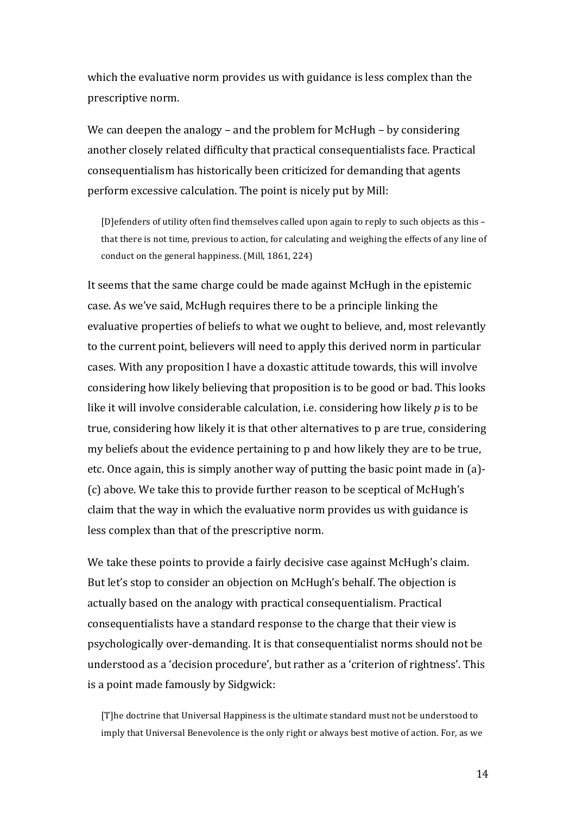which the evaluative norm provides us with guidance is less complex than the prescriptive norm.

We can deepen the analogy – and the problem for McHugh – by considering another closely related difficulty that practical consequentialists face. Practical consequentialism has historically been criticized for demanding that agents perform excessive calculation. The point is nicely put by Mill:

[D]efenders of utility often find themselves called upon again to reply to such objects as this that there is not time, previous to action, for calculating and weighing the effects of any line of conduct on the general happiness. (Mill, 1861, 224)

It seems that the same charge could be made against McHugh in the epistemic case. As we've said, McHugh requires there to be a principle linking the evaluative properties of beliefs to what we ought to believe, and, most relevantly to the current point, believers will need to apply this derived norm in particular cases. With any proposition I have a doxastic attitude towards, this will involve considering how likely believing that proposition is to be good or bad. This looks like it will involve considerable calculation, i.e. considering how likely  $p$  is to be true, considering how likely it is that other alternatives to p are true, considering my beliefs about the evidence pertaining to p and how likely they are to be true, etc. Once again, this is simply another way of putting the basic point made in (a)-(c) above. We take this to provide further reason to be sceptical of McHugh's claim that the way in which the evaluative norm provides us with guidance is less complex than that of the prescriptive norm.

We take these points to provide a fairly decisive case against McHugh's claim. But let's stop to consider an objection on McHugh's behalf. The objection is actually based on the analogy with practical consequentialism. Practical consequentialists have a standard response to the charge that their view is psychologically over-demanding. It is that consequentialist norms should not be understood as a 'decision procedure', but rather as a 'criterion of rightness'. This is a point made famously by Sidgwick:

[T]he doctrine that Universal Happiness is the ultimate standard must not be understood to imply that Universal Benevolence is the only right or always best motive of action. For, as we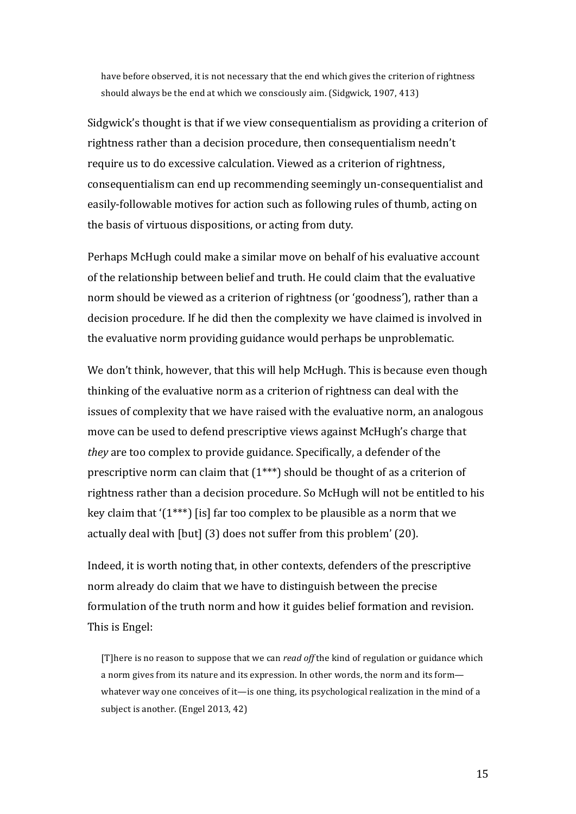have before observed, it is not necessary that the end which gives the criterion of rightness should always be the end at which we consciously aim. (Sidgwick, 1907, 413)

Sidgwick's thought is that if we view consequentialism as providing a criterion of rightness rather than a decision procedure, then consequentialism needn't require us to do excessive calculation. Viewed as a criterion of rightness, consequentialism can end up recommending seemingly un-consequentialist and easily-followable motives for action such as following rules of thumb, acting on the basis of virtuous dispositions, or acting from duty.

Perhaps McHugh could make a similar move on behalf of his evaluative account of the relationship between belief and truth. He could claim that the evaluative norm should be viewed as a criterion of rightness (or 'goodness'), rather than a decision procedure. If he did then the complexity we have claimed is involved in the evaluative norm providing guidance would perhaps be unproblematic.

We don't think, however, that this will help McHugh. This is because even though thinking of the evaluative norm as a criterion of rightness can deal with the issues of complexity that we have raised with the evaluative norm, an analogous move can be used to defend prescriptive views against McHugh's charge that *they* are too complex to provide guidance. Specifically, a defender of the prescriptive norm can claim that  $(1^{***})$  should be thought of as a criterion of rightness rather than a decision procedure. So McHugh will not be entitled to his key claim that  $(1^{***})$  [is] far too complex to be plausible as a norm that we actually deal with [but] (3) does not suffer from this problem' (20).

Indeed, it is worth noting that, in other contexts, defenders of the prescriptive norm already do claim that we have to distinguish between the precise formulation of the truth norm and how it guides belief formation and revision. This is Engel:

[T]here is no reason to suppose that we can *read off* the kind of regulation or guidance which a norm gives from its nature and its expression. In other words, the norm and its form whatever way one conceives of it—is one thing, its psychological realization in the mind of a subject is another. (Engel 2013, 42)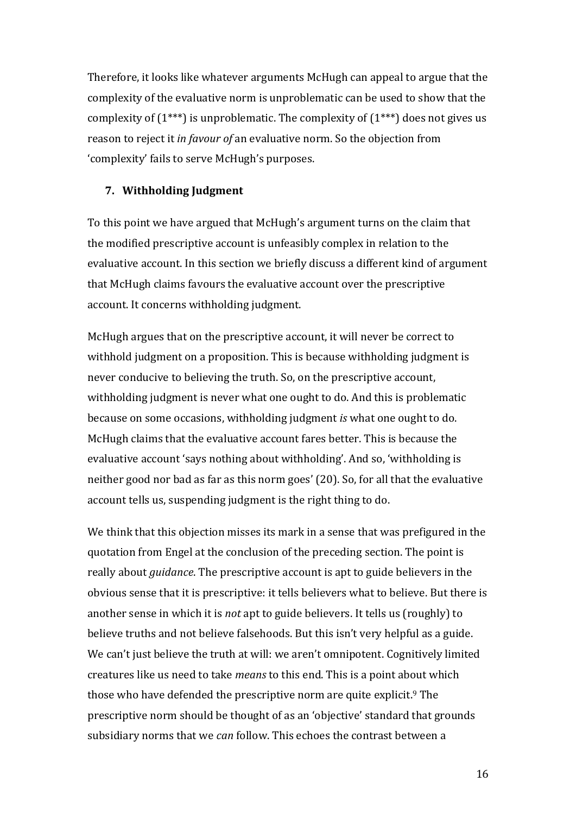Therefore, it looks like whatever arguments McHugh can appeal to argue that the complexity of the evaluative norm is unproblematic can be used to show that the complexity of  $(1^{***})$  is unproblematic. The complexity of  $(1^{***})$  does not gives us reason to reject it *in favour of* an evaluative norm. So the objection from 'complexity' fails to serve McHugh's purposes.

### **7. Withholding Judgment**

To this point we have argued that McHugh's argument turns on the claim that the modified prescriptive account is unfeasibly complex in relation to the evaluative account. In this section we briefly discuss a different kind of argument that McHugh claims favours the evaluative account over the prescriptive account. It concerns withholding judgment.

McHugh argues that on the prescriptive account, it will never be correct to withhold judgment on a proposition. This is because withholding judgment is never conducive to believing the truth. So, on the prescriptive account, withholding judgment is never what one ought to do. And this is problematic because on some occasions, withholding judgment *is* what one ought to do. McHugh claims that the evaluative account fares better. This is because the evaluative account 'says nothing about withholding'. And so, 'withholding is neither good nor bad as far as this norm goes' (20). So, for all that the evaluative account tells us, suspending judgment is the right thing to do.

We think that this objection misses its mark in a sense that was prefigured in the quotation from Engel at the conclusion of the preceding section. The point is really about *guidance*. The prescriptive account is apt to guide believers in the obvious sense that it is prescriptive: it tells believers what to believe. But there is another sense in which it is *not* apt to guide believers. It tells us (roughly) to believe truths and not believe falsehoods. But this isn't very helpful as a guide. We can't just believe the truth at will: we aren't omnipotent. Cognitively limited creatures like us need to take *means* to this end. This is a point about which those who have defended the prescriptive norm are quite explicit.<sup>9</sup> The prescriptive norm should be thought of as an 'objective' standard that grounds subsidiary norms that we *can* follow. This echoes the contrast between a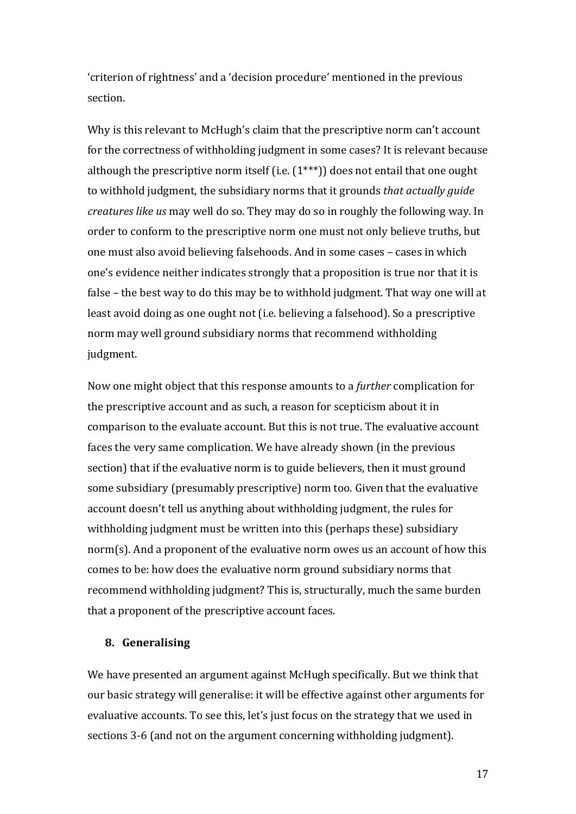'criterion of rightness' and a 'decision procedure' mentioned in the previous section.

Why is this relevant to McHugh's claim that the prescriptive norm can't account for the correctness of withholding judgment in some cases? It is relevant because although the prescriptive norm itself (i.e.  $(1^{***})$ ) does not entail that one ought to withhold judgment, the subsidiary norms that it grounds *that actually guide creatures like us* may well do so. They may do so in roughly the following way. In order to conform to the prescriptive norm one must not only believe truths, but one must also avoid believing falsehoods. And in some cases – cases in which one's evidence neither indicates strongly that a proposition is true nor that it is false – the best way to do this may be to withhold judgment. That way one will at least avoid doing as one ought not (i.e. believing a falsehood). So a prescriptive norm may well ground subsidiary norms that recommend withholding judgment.

Now one might object that this response amounts to a *further* complication for the prescriptive account and as such, a reason for scepticism about it in comparison to the evaluate account. But this is not true. The evaluative account faces the very same complication. We have already shown (in the previous section) that if the evaluative norm is to guide believers, then it must ground some subsidiary (presumably prescriptive) norm too. Given that the evaluative account doesn't tell us anything about withholding judgment, the rules for withholding judgment must be written into this (perhaps these) subsidiary norm(s). And a proponent of the evaluative norm owes us an account of how this comes to be: how does the evaluative norm ground subsidiary norms that recommend withholding judgment? This is, structurally, much the same burden that a proponent of the prescriptive account faces.

### **8. Generalising**

We have presented an argument against McHugh specifically. But we think that our basic strategy will generalise: it will be effective against other arguments for evaluative accounts. To see this, let's just focus on the strategy that we used in sections 3-6 (and not on the argument concerning withholding judgment).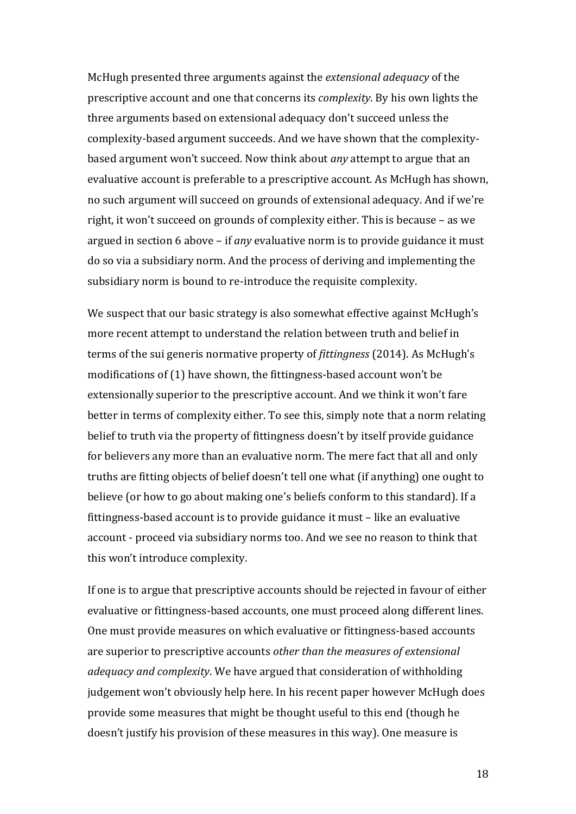McHugh presented three arguments against the *extensional adequacy* of the prescriptive account and one that concerns its *complexity*. By his own lights the three arguments based on extensional adequacy don't succeed unless the complexity-based argument succeeds. And we have shown that the complexitybased argument won't succeed. Now think about *any* attempt to argue that an evaluative account is preferable to a prescriptive account. As McHugh has shown, no such argument will succeed on grounds of extensional adequacy. And if we're right, it won't succeed on grounds of complexity either. This is because - as we argued in section 6 above – if *any* evaluative norm is to provide guidance it must do so via a subsidiary norm. And the process of deriving and implementing the subsidiary norm is bound to re-introduce the requisite complexity.

We suspect that our basic strategy is also somewhat effective against McHugh's more recent attempt to understand the relation between truth and belief in terms of the sui generis normative property of *fittingness* (2014). As McHugh's modifications of  $(1)$  have shown, the fittingness-based account won't be extensionally superior to the prescriptive account. And we think it won't fare better in terms of complexity either. To see this, simply note that a norm relating belief to truth via the property of fittingness doesn't by itself provide guidance for believers any more than an evaluative norm. The mere fact that all and only truths are fitting objects of belief doesn't tell one what (if anything) one ought to believe (or how to go about making one's beliefs conform to this standard). If a fittingness-based account is to provide guidance it must – like an evaluative account - proceed via subsidiary norms too. And we see no reason to think that this won't introduce complexity.

If one is to argue that prescriptive accounts should be rejected in favour of either evaluative or fittingness-based accounts, one must proceed along different lines. One must provide measures on which evaluative or fittingness-based accounts are superior to prescriptive accounts *other than the measures of extensional adequacy and complexity.* We have argued that consideration of withholding judgement won't obviously help here. In his recent paper however McHugh does provide some measures that might be thought useful to this end (though he doesn't justify his provision of these measures in this way). One measure is

18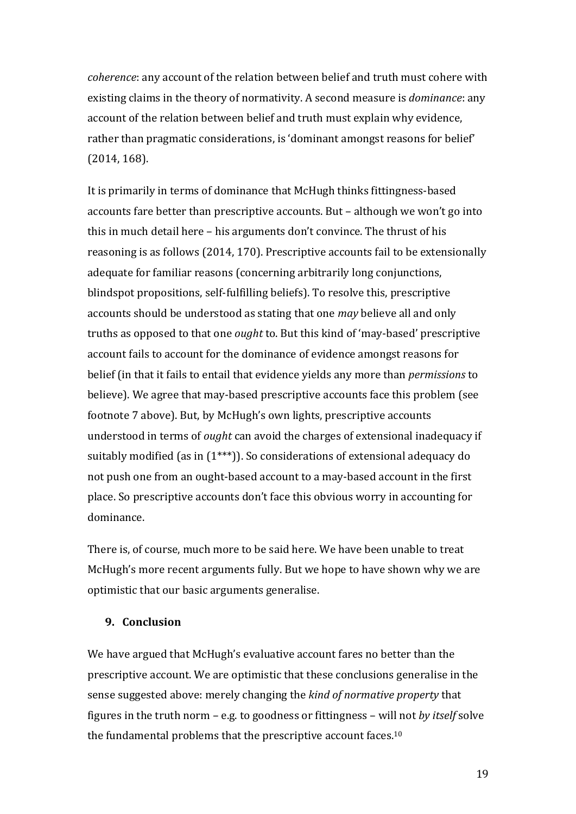*coherence*: any account of the relation between belief and truth must cohere with existing claims in the theory of normativity. A second measure is *dominance*: any account of the relation between belief and truth must explain why evidence, rather than pragmatic considerations, is 'dominant amongst reasons for belief'  $(2014, 168)$ .

It is primarily in terms of dominance that McHugh thinks fittingness-based accounts fare better than prescriptive accounts. But – although we won't go into this in much detail here – his arguments don't convince. The thrust of his reasoning is as follows (2014, 170). Prescriptive accounts fail to be extensionally adequate for familiar reasons (concerning arbitrarily long conjunctions, blindspot propositions, self-fulfilling beliefs). To resolve this, prescriptive accounts should be understood as stating that one *may* believe all and only truths as opposed to that one *ought* to. But this kind of 'may-based' prescriptive account fails to account for the dominance of evidence amongst reasons for belief (in that it fails to entail that evidence yields any more than *permissions* to believe). We agree that may-based prescriptive accounts face this problem (see footnote 7 above). But, by McHugh's own lights, prescriptive accounts understood in terms of *ought* can avoid the charges of extensional inadequacy if suitably modified (as in  $(1***)$ ). So considerations of extensional adequacy do not push one from an ought-based account to a may-based account in the first place. So prescriptive accounts don't face this obvious worry in accounting for dominance.

There is, of course, much more to be said here. We have been unable to treat McHugh's more recent arguments fully. But we hope to have shown why we are optimistic that our basic arguments generalise.

### **9. Conclusion**

We have argued that McHugh's evaluative account fares no better than the prescriptive account. We are optimistic that these conclusions generalise in the sense suggested above: merely changing the *kind of normative property* that figures in the truth norm - e.g. to goodness or fittingness - will not by itself solve the fundamental problems that the prescriptive account faces.<sup>10</sup>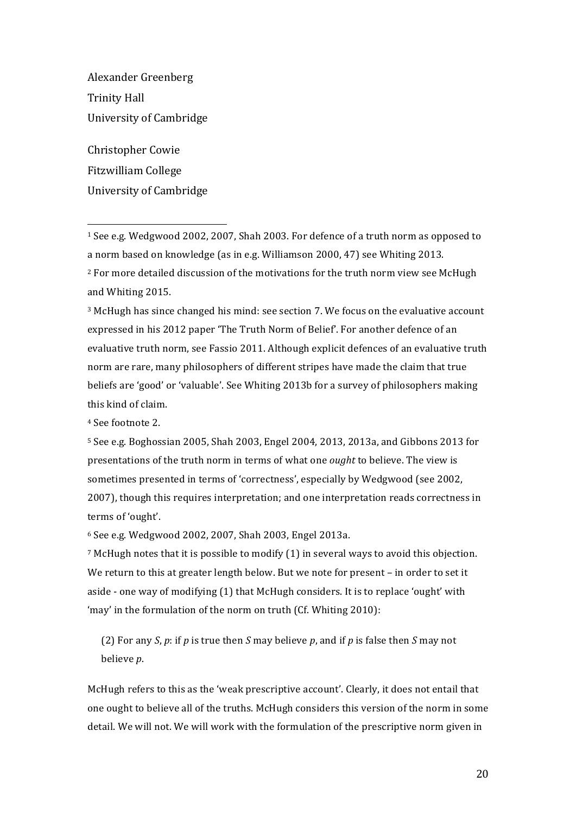Alexander Greenberg Trinity Hall University of Cambridge

Christopher Cowie Fitzwilliam College University of Cambridge

 

 $1$  See e.g. Wedgwood 2002, 2007, Shah 2003. For defence of a truth norm as opposed to a norm based on knowledge (as in e.g. Williamson 2000, 47) see Whiting 2013.  $2$  For more detailed discussion of the motivations for the truth norm view see McHugh and Whiting 2015.

<sup>3</sup> McHugh has since changed his mind: see section 7. We focus on the evaluative account expressed in his 2012 paper 'The Truth Norm of Belief'. For another defence of an evaluative truth norm, see Fassio 2011. Although explicit defences of an evaluative truth norm are rare, many philosophers of different stripes have made the claim that true beliefs are 'good' or 'valuable'. See Whiting 2013b for a survey of philosophers making this kind of claim.

<sup>4</sup> See footnote 2.

 $5$  See e.g. Boghossian 2005, Shah 2003, Engel 2004, 2013, 2013a, and Gibbons 2013 for presentations of the truth norm in terms of what one *ought* to believe. The view is sometimes presented in terms of 'correctness', especially by Wedgwood (see 2002, 2007), though this requires interpretation; and one interpretation reads correctness in terms of 'ought'.

 $6$  See e.g. Wedgwood 2002, 2007, Shah 2003, Engel 2013a.

 $7$  McHugh notes that it is possible to modify  $(1)$  in several ways to avoid this objection. We return to this at greater length below. But we note for present - in order to set it aside - one way of modifying  $(1)$  that McHugh considers. It is to replace 'ought' with 'may' in the formulation of the norm on truth  $(Cf.$  Whiting 2010):

(2) For any *S*,  $p$ : if  $p$  is true then *S* may believe  $p$ , and if  $p$  is false then *S* may not believe *p*.

McHugh refers to this as the 'weak prescriptive account'. Clearly, it does not entail that one ought to believe all of the truths. McHugh considers this version of the norm in some detail. We will not. We will work with the formulation of the prescriptive norm given in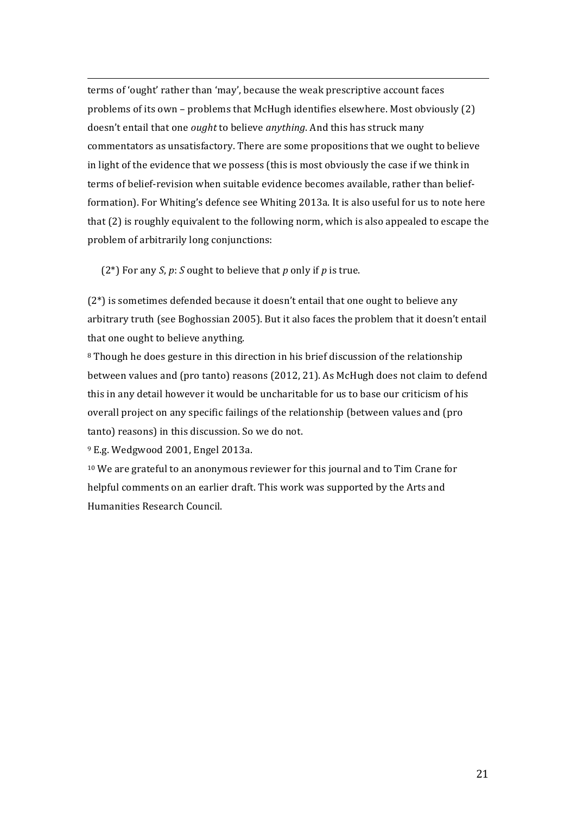<u> 1989 - Andrea San Andrew Maria (h. 1989).</u><br>1900 - Andrew Maria (h. 1980). terms of 'ought' rather than 'may', because the weak prescriptive account faces problems of its own – problems that McHugh identifies elsewhere. Most obviously  $(2)$ doesn't entail that one *ought* to believe *anything*. And this has struck many commentators as unsatisfactory. There are some propositions that we ought to believe in light of the evidence that we possess (this is most obviously the case if we think in terms of belief-revision when suitable evidence becomes available, rather than beliefformation). For Whiting's defence see Whiting 2013a. It is also useful for us to note here that (2) is roughly equivalent to the following norm, which is also appealed to escape the problem of arbitrarily long conjunctions:

(2<sup>\*</sup>) For any *S*, *p*: *S* ought to believe that *p* only if *p* is true.

 $(2^*)$  is sometimes defended because it doesn't entail that one ought to believe any arbitrary truth (see Boghossian 2005). But it also faces the problem that it doesn't entail that one ought to believe anything.

8 Though he does gesture in this direction in his brief discussion of the relationship between values and (pro tanto) reasons (2012, 21). As McHugh does not claim to defend this in any detail however it would be uncharitable for us to base our criticism of his overall project on any specific failings of the relationship (between values and (pro tanto) reasons) in this discussion. So we do not.

<sup>9</sup> E.g. Wedgwood 2001, Engel 2013a.

<sup>10</sup> We are grateful to an anonymous reviewer for this journal and to Tim Crane for helpful comments on an earlier draft. This work was supported by the Arts and Humanities Research Council.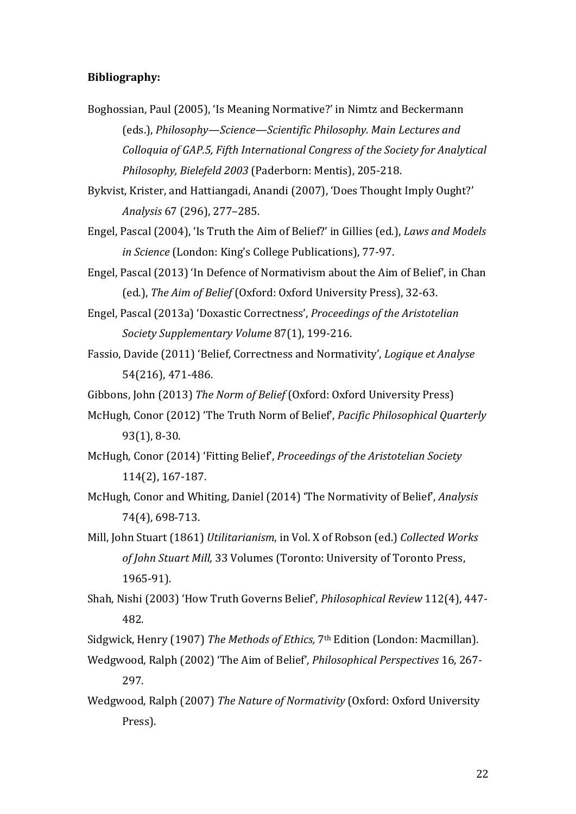# **Bibliography:**

- Boghossian, Paul (2005), 'Is Meaning Normative?' in Nimtz and Beckermann (eds.), *Philosophy—Science—Scientific Philosophy. Main Lectures and Colloquia of GAP.5, Fifth International Congress of the Society for Analytical Philosophy, Bielefeld 2003* (Paderborn: Mentis), 205-218.
- Bykvist, Krister, and Hattiangadi, Anandi (2007), 'Does Thought Imply Ought?' *Analysis* 67 (296), 277–285.
- Engel, Pascal (2004), 'Is Truth the Aim of Belief?' in Gillies (ed.), *Laws and Models in Science* (London: King's College Publications), 77-97.
- Engel, Pascal (2013) 'In Defence of Normativism about the Aim of Belief', in Chan (ed.), The Aim of Belief (Oxford: Oxford University Press). 32-63.
- Engel, Pascal (2013a) 'Doxastic Correctness', *Proceedings of the Aristotelian Society Supplementary Volume* 87(1), 199-216.
- Fassio, Davide (2011) 'Belief, Correctness and Normativity', *Logique et Analyse* 54(216), 471-486.
- Gibbons, John (2013) *The Norm of Belief* (Oxford: Oxford University Press)
- McHugh, Conor (2012) 'The Truth Norm of Belief', *Pacific Philosophical Quarterly* 93(1), 8-30.
- McHugh, Conor (2014) 'Fitting Belief', *Proceedings of the Aristotelian Society* 114(2), 167-187.
- McHugh, Conor and Whiting, Daniel (2014) 'The Normativity of Belief', *Analysis* 74(4), 698-713.
- Mill, John Stuart (1861) *Utilitarianism*, in Vol. X of Robson (ed.) *Collected Works* of *John Stuart Mill,* 33 Volumes (Toronto: University of Toronto Press, 1965-91).
- Shah, Nishi (2003) 'How Truth Governs Belief', *Philosophical Review* 112(4), 447-482.

Sidgwick, Henry (1907) *The Methods of Ethics*, 7<sup>th</sup> Edition (London: Macmillan).

- Wedgwood, Ralph (2002) 'The Aim of Belief', *Philosophical Perspectives* 16, 267-297.
- Wedgwood, Ralph (2007) *The Nature of Normativity* (Oxford: Oxford University Press).